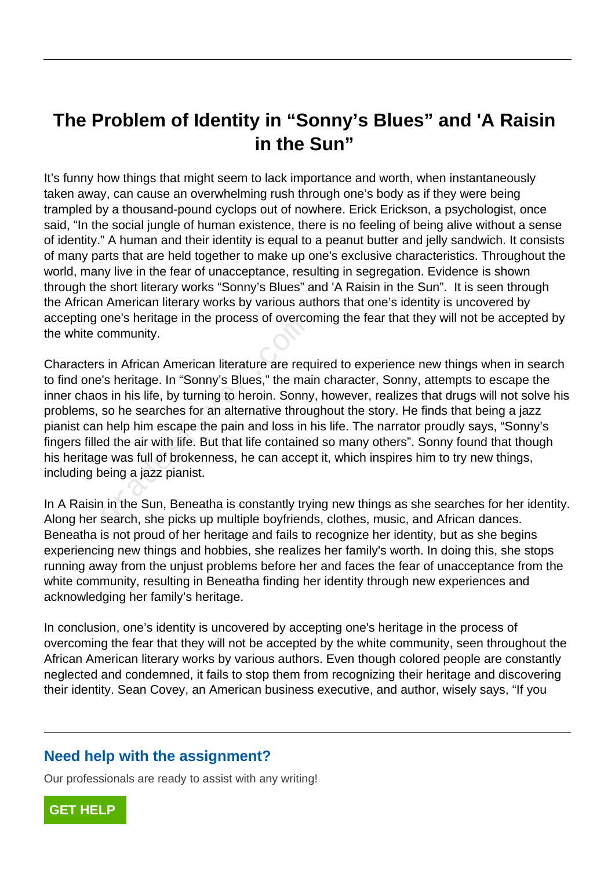## **The Problem of Identity in "Sonny's Blues" and 'A Raisin in the Sun"**

It's funny how things that might seem to lack importance and worth, when instantaneously taken away, can cause an overwhelming rush through one's body as if they were being trampled by a thousand-pound cyclops out of nowhere. Erick Erickson, a psychologist, once said, "In the social jungle of human existence, there is no feeling of being alive without a sense of identity." A human and their identity is equal to a peanut butter and jelly sandwich. It consists of many parts that are held together to make up one's exclusive characteristics. Throughout the world, many live in the fear of unacceptance, resulting in segregation. Evidence is shown through the short literary works "Sonny's Blues" and 'A Raisin in the Sun". It is seen through the African American literary works by various authors that one's identity is uncovered by accepting one's heritage in the process of overcoming the fear that they will not be accepted by the white community.

Characters in African American literature are required to experience new things when in search to find one's heritage. In "Sonny's Blues," the main character, Sonny, attempts to escape the inner chaos in his life, by turning to heroin. Sonny, however, realizes that drugs will not solve his problems, so he searches for an alternative throughout the story. He finds that being a jazz pianist can help him escape the pain and loss in his life. The narrator proudly says, "Sonny's fingers filled the air with life. But that life contained so many others". Sonny found that though his heritage was full of brokenness, he can accept it, which inspires him to try new things, including being a jazz pianist. Community.<br>
Sin African American literature are requested<br>
Sin African American literature are requestions<br>
Sin his life, by turning to heroin. Sonny<br>
so he searches for an alternative throu<br>
Nelp him escape the pain and l

In A Raisin in the Sun, Beneatha is constantly trying new things as she searches for her identity. Along her search, she picks up multiple boyfriends, clothes, music, and African dances. Beneatha is not proud of her heritage and fails to recognize her identity, but as she begins experiencing new things and hobbies, she realizes her family's worth. In doing this, she stops running away from the unjust problems before her and faces the fear of unacceptance from the white community, resulting in Beneatha finding her identity through new experiences and acknowledging her family's heritage.

In conclusion, one's identity is uncovered by accepting one's heritage in the process of overcoming the fear that they will not be accepted by the white community, seen throughout the African American literary works by various authors. Even though colored people are constantly neglected and condemned, it fails to stop them from recognizing their heritage and discovering their identity. Sean Covey, an American business executive, and author, wisely says, "If you

## **Need help with the assignment?**

Our professionals are ready to assist with any writing!